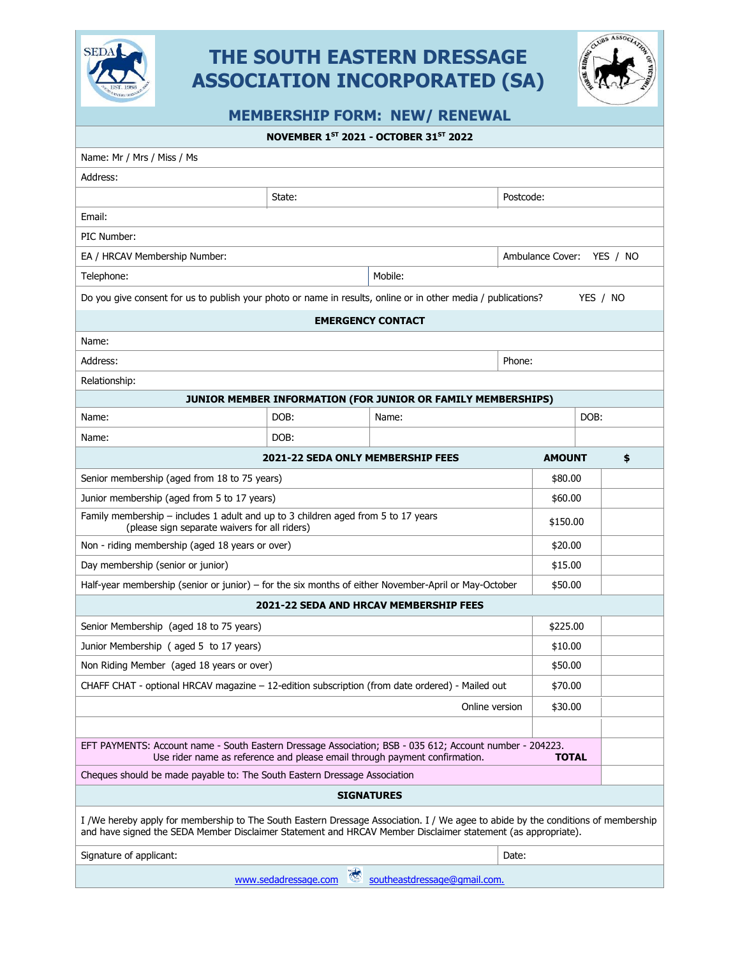

# **THE SOUTH EASTERN DRESSAGE ASSOCIATION INCORPORATED (SA)**



**MEMBERSHIP FORM: NEW/ RENEWAL** 

**NOVEMBER 1 ST 2021 - OCTOBER 31ST 2022**

| Name: Mr / Mrs / Miss / Ms                                                                                                                                                                                                                        |        |       |           |                              |  |    |
|---------------------------------------------------------------------------------------------------------------------------------------------------------------------------------------------------------------------------------------------------|--------|-------|-----------|------------------------------|--|----|
| Address:                                                                                                                                                                                                                                          |        |       |           |                              |  |    |
|                                                                                                                                                                                                                                                   | State: |       | Postcode: |                              |  |    |
| Email:                                                                                                                                                                                                                                            |        |       |           |                              |  |    |
| PIC Number:                                                                                                                                                                                                                                       |        |       |           |                              |  |    |
| EA / HRCAV Membership Number:                                                                                                                                                                                                                     |        |       |           | Ambulance Cover:<br>YES / NO |  |    |
| Mobile:<br>Telephone:                                                                                                                                                                                                                             |        |       |           |                              |  |    |
| Do you give consent for us to publish your photo or name in results, online or in other media / publications?<br>YES / NO                                                                                                                         |        |       |           |                              |  |    |
| <b>EMERGENCY CONTACT</b>                                                                                                                                                                                                                          |        |       |           |                              |  |    |
| Name:                                                                                                                                                                                                                                             |        |       |           |                              |  |    |
| Address:<br>Phone:                                                                                                                                                                                                                                |        |       |           |                              |  |    |
| Relationship:                                                                                                                                                                                                                                     |        |       |           |                              |  |    |
| JUNIOR MEMBER INFORMATION (FOR JUNIOR OR FAMILY MEMBERSHIPS)                                                                                                                                                                                      |        |       |           |                              |  |    |
| Name:                                                                                                                                                                                                                                             | DOB:   | Name: | DOB:      |                              |  |    |
| Name:                                                                                                                                                                                                                                             | DOB:   |       |           |                              |  |    |
| 2021-22 SEDA ONLY MEMBERSHIP FEES                                                                                                                                                                                                                 |        |       |           | <b>AMOUNT</b>                |  | \$ |
| Senior membership (aged from 18 to 75 years)                                                                                                                                                                                                      |        |       |           | \$80.00                      |  |    |
| Junior membership (aged from 5 to 17 years)                                                                                                                                                                                                       |        |       |           | \$60.00                      |  |    |
| Family membership - includes 1 adult and up to 3 children aged from 5 to 17 years<br>(please sign separate waivers for all riders)                                                                                                                |        |       |           | \$150.00                     |  |    |
| Non - riding membership (aged 18 years or over)                                                                                                                                                                                                   |        |       |           | \$20.00                      |  |    |
| Day membership (senior or junior)                                                                                                                                                                                                                 |        |       | \$15.00   |                              |  |    |
| Half-year membership (senior or junior) - for the six months of either November-April or May-October                                                                                                                                              |        |       |           | \$50.00                      |  |    |
| <b>2021-22 SEDA AND HRCAV MEMBERSHIP FEES</b>                                                                                                                                                                                                     |        |       |           |                              |  |    |
| Senior Membership (aged 18 to 75 years)                                                                                                                                                                                                           |        |       |           | \$225.00                     |  |    |
| Junior Membership (aged 5 to 17 years)                                                                                                                                                                                                            |        |       |           | \$10.00                      |  |    |
| Non Riding Member (aged 18 years or over)                                                                                                                                                                                                         |        |       |           | \$50.00                      |  |    |
| CHAFF CHAT - optional HRCAV magazine - 12-edition subscription (from date ordered) - Mailed out                                                                                                                                                   |        |       |           | \$70.00                      |  |    |
| Online version                                                                                                                                                                                                                                    |        |       |           | \$30.00                      |  |    |
|                                                                                                                                                                                                                                                   |        |       |           |                              |  |    |
| EFT PAYMENTS: Account name - South Eastern Dressage Association; BSB - 035 612; Account number - 204223.<br>Use rider name as reference and please email through payment confirmation.<br><b>TOTAL</b>                                            |        |       |           |                              |  |    |
| Cheques should be made payable to: The South Eastern Dressage Association                                                                                                                                                                         |        |       |           |                              |  |    |
| <b>SIGNATURES</b>                                                                                                                                                                                                                                 |        |       |           |                              |  |    |
| I /We hereby apply for membership to The South Eastern Dressage Association. I / We agee to abide by the conditions of membership<br>and have signed the SEDA Member Disclaimer Statement and HRCAV Member Disclaimer statement (as appropriate). |        |       |           |                              |  |    |
| Signature of applicant:<br>Date:                                                                                                                                                                                                                  |        |       |           |                              |  |    |
| southeastdressage@gmail.com.<br>www.sedadressage.com                                                                                                                                                                                              |        |       |           |                              |  |    |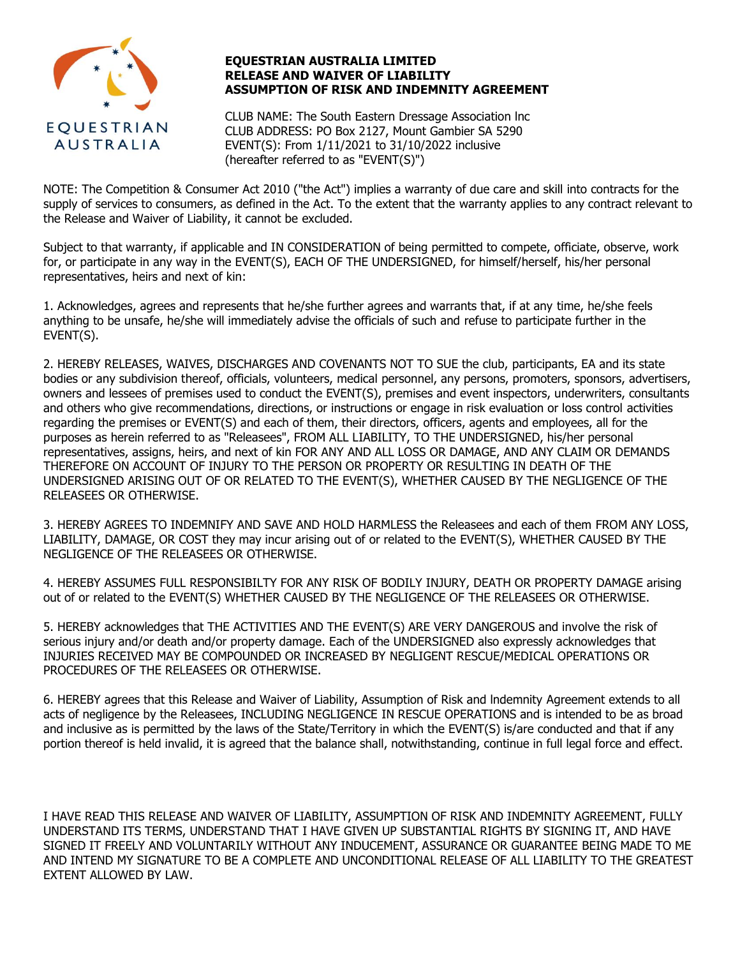

## **EQUESTRIAN AUSTRALIA LIMITED RELEASE AND WAIVER OF LIABILITY ASSUMPTION OF RISK AND INDEMNITY AGREEMENT**

CLUB NAME: The South Eastern Dressage Association lnc CLUB ADDRESS: PO Box 2127, Mount Gambier SA 5290 EVENT(S): From 1/11/2021 to 31/10/2022 inclusive (hereafter referred to as "EVENT(S)")

NOTE: The Competition & Consumer Act 2010 ("the Act") implies a warranty of due care and skill into contracts for the supply of services to consumers, as defined in the Act. To the extent that the warranty applies to any contract relevant to the Release and Waiver of Liability, it cannot be excluded.

Subject to that warranty, if applicable and IN CONSIDERATION of being permitted to compete, officiate, observe, work for, or participate in any way in the EVENT(S), EACH OF THE UNDERSIGNED, for himself/herself, his/her personal representatives, heirs and next of kin:

1. Acknowledges, agrees and represents that he/she further agrees and warrants that, if at any time, he/she feels anything to be unsafe, he/she will immediately advise the officials of such and refuse to participate further in the EVENT(S).

2. HEREBY RELEASES, WAIVES, DISCHARGES AND COVENANTS NOT TO SUE the club, participants, EA and its state bodies or any subdivision thereof, officials, volunteers, medical personnel, any persons, promoters, sponsors, advertisers, owners and lessees of premises used to conduct the EVENT(S), premises and event inspectors, underwriters, consultants and others who give recommendations, directions, or instructions or engage in risk evaluation or loss control activities regarding the premises or EVENT(S) and each of them, their directors, officers, agents and employees, all for the purposes as herein referred to as "Releasees", FROM ALL LIABILITY, TO THE UNDERSIGNED, his/her personal representatives, assigns, heirs, and next of kin FOR ANY AND ALL LOSS OR DAMAGE, AND ANY CLAIM OR DEMANDS THEREFORE ON ACCOUNT OF INJURY TO THE PERSON OR PROPERTY OR RESULTING IN DEATH OF THE UNDERSIGNED ARISING OUT OF OR RELATED TO THE EVENT(S), WHETHER CAUSED BY THE NEGLIGENCE OF THE RELEASEES OR OTHERWISE.

3. HEREBY AGREES TO INDEMNIFY AND SAVE AND HOLD HARMLESS the Releasees and each of them FROM ANY LOSS, LIABILITY, DAMAGE, OR COST they may incur arising out of or related to the EVENT(S), WHETHER CAUSED BY THE NEGLIGENCE OF THE RELEASEES OR OTHERWISE.

4. HEREBY ASSUMES FULL RESPONSIBILTY FOR ANY RISK OF BODILY INJURY, DEATH OR PROPERTY DAMAGE arising out of or related to the EVENT(S) WHETHER CAUSED BY THE NEGLIGENCE OF THE RELEASEES OR OTHERWISE.

5. HEREBY acknowledges that THE ACTIVITIES AND THE EVENT(S) ARE VERY DANGEROUS and involve the risk of serious injury and/or death and/or property damage. Each of the UNDERSIGNED also expressly acknowledges that INJURIES RECEIVED MAY BE COMPOUNDED OR INCREASED BY NEGLIGENT RESCUE/MEDICAL OPERATIONS OR PROCEDURES OF THE RELEASEES OR OTHERWISE.

6. HEREBY agrees that this Release and Waiver of Liability, Assumption of Risk and lndemnity Agreement extends to all acts of negligence by the Releasees, INCLUDING NEGLIGENCE IN RESCUE OPERATIONS and is intended to be as broad and inclusive as is permitted by the laws of the State/Territory in which the EVENT(S) is/are conducted and that if any portion thereof is held invalid, it is agreed that the balance shall, notwithstanding, continue in full legal force and effect.

I HAVE READ THIS RELEASE AND WAIVER OF LIABILITY, ASSUMPTION OF RISK AND INDEMNITY AGREEMENT, FULLY UNDERSTAND ITS TERMS, UNDERSTAND THAT I HAVE GIVEN UP SUBSTANTIAL RIGHTS BY SIGNING IT, AND HAVE SIGNED IT FREELY AND VOLUNTARILY WITHOUT ANY INDUCEMENT, ASSURANCE OR GUARANTEE BEING MADE TO ME AND INTEND MY SIGNATURE TO BE A COMPLETE AND UNCONDITIONAL RELEASE OF ALL LIABILITY TO THE GREATEST EXTENT ALLOWED BY LAW.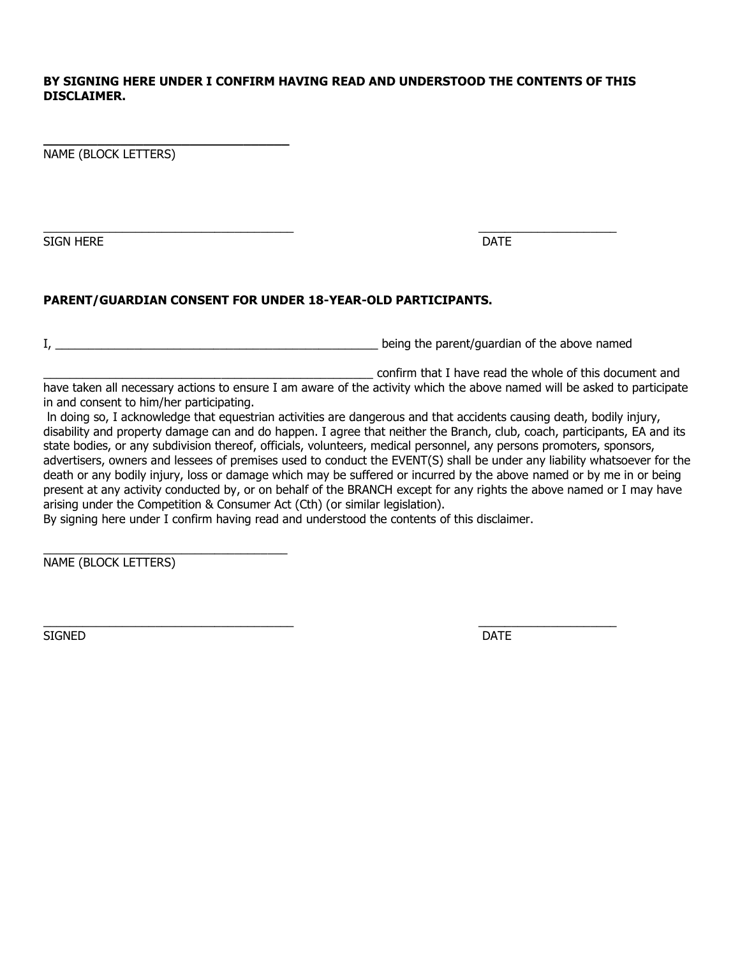# **BY SIGNING HERE UNDER I CONFIRM HAVING READ AND UNDERSTOOD THE CONTENTS OF THIS DISCLAIMER.**

NAME (BLOCK LETTERS)

**\_\_\_\_\_\_\_\_\_\_\_\_\_\_\_\_\_\_\_\_\_\_\_\_\_\_\_\_\_\_\_\_**

SIGN HERE **DATE** 

\_\_\_\_\_\_\_\_\_\_\_\_\_\_\_\_\_\_\_\_\_\_\_\_\_\_\_\_\_\_\_\_\_\_\_\_\_\_ \_\_\_\_\_\_\_\_\_\_\_\_\_\_\_\_\_\_\_\_\_

# **PARENT/GUARDIAN CONSENT FOR UNDER 18-YEAR-OLD PARTICIPANTS.**

I, the state of the parent/guardian of the above named is the state of the above named in the above named is the state of the above named in the state of the above named in the state of the state of the state of the state

\_\_\_\_\_\_\_\_\_\_\_\_\_\_\_\_\_\_\_\_\_\_\_\_\_\_\_\_\_\_\_\_\_\_\_\_\_\_\_\_\_\_\_\_\_\_\_\_\_\_ confirm that I have read the whole of this document and

have taken all necessary actions to ensure I am aware of the activity which the above named will be asked to participate in and consent to him/her participating.

ln doing so, I acknowledge that equestrian activities are dangerous and that accidents causing death, bodily injury, disability and property damage can and do happen. I agree that neither the Branch, club, coach, participants, EA and its state bodies, or any subdivision thereof, officials, volunteers, medical personnel, any persons promoters, sponsors, advertisers, owners and lessees of premises used to conduct the EVENT(S) shall be under any liability whatsoever for the death or any bodily injury, loss or damage which may be suffered or incurred by the above named or by me in or being present at any activity conducted by, or on behalf of the BRANCH except for any rights the above named or I may have arising under the Competition & Consumer Act (Cth) (or similar legislation).

By signing here under I confirm having read and understood the contents of this disclaimer.

NAME (BLOCK LETTERS)

\_\_\_\_\_\_\_\_\_\_\_\_\_\_\_\_\_\_\_\_\_\_\_\_\_\_\_\_\_\_\_\_\_\_\_\_\_

SIGNED DATE AND INTERNATIONAL CONTRACT OF STRUCK AND A SERIES OF DATE OF STRUCK AND DESCRIPTION OF DATE OF DATE

\_\_\_\_\_\_\_\_\_\_\_\_\_\_\_\_\_\_\_\_\_\_\_\_\_\_\_\_\_\_\_\_\_\_\_\_\_\_ \_\_\_\_\_\_\_\_\_\_\_\_\_\_\_\_\_\_\_\_\_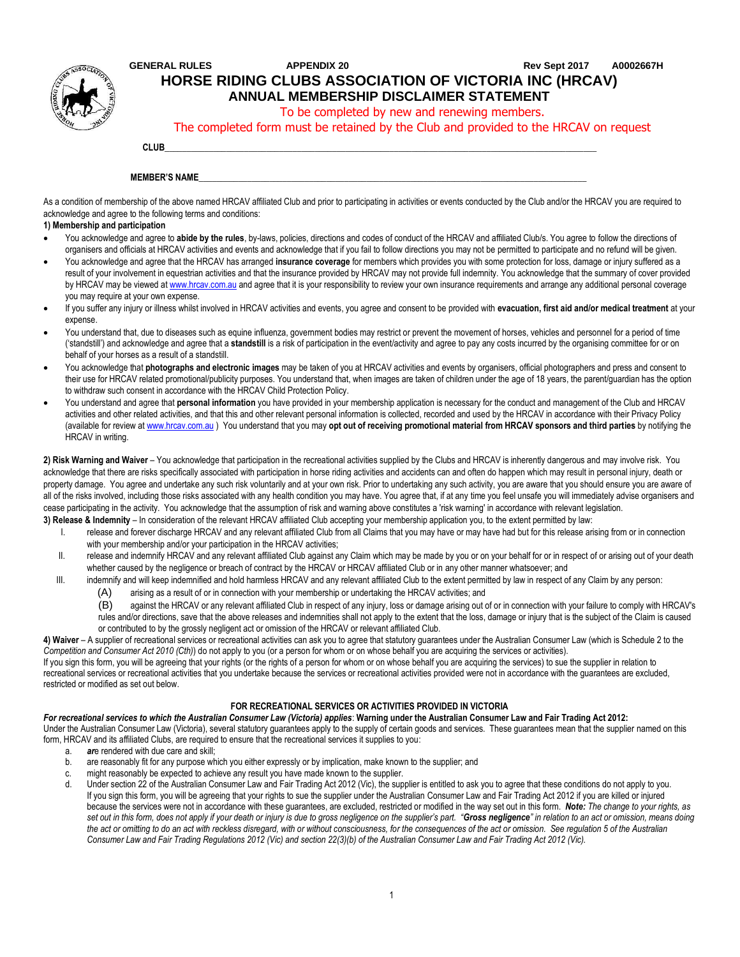

# **GENERAL RULES APPENDIX 20 Rev Sept 2017 A0002667H HORSE RIDING CLUBS ASSOCIATION OF VICTORIA INC (HRCAV) ANNUAL MEMBERSHIP DISCLAIMER STATEMENT**

To be completed by new and renewing members.

The completed form must be retained by the Club and provided to the HRCAV on request

## **CLUB**\_\_\_\_\_\_\_\_\_\_\_\_\_\_\_\_\_\_\_\_\_\_\_\_\_\_\_\_\_\_\_\_\_\_\_\_\_\_\_\_\_\_\_\_\_\_\_\_\_\_\_\_\_\_\_\_\_\_\_\_\_\_\_\_\_\_\_\_\_\_\_\_\_\_\_\_\_\_\_\_\_\_\_\_\_\_\_\_\_\_\_\_\_\_\_\_\_\_

#### **MEMBER'S NAME**

As a condition of membership of the above named HRCAV affiliated Club and prior to participating in activities or events conducted by the Club and/or the HRCAV you are required to acknowledge and agree to the following terms and conditions:

## **1) Membership and participation**

- You acknowledge and agree to **abide by the rules**, by-laws, policies, directions and codes of conduct of the HRCAV and affiliated Club/s. You agree to follow the directions of organisers and officials at HRCAV activities and events and acknowledge that if you fail to follow directions you may not be permitted to participate and no refund will be given.
- You acknowledge and agree that the HRCAV has arranged **insurance coverage** for members which provides you with some protection for loss, damage or injury suffered as a result of your involvement in equestrian activities and that the insurance provided by HRCAV may not provide full indemnity. You acknowledge that the summary of cover provided by HRCAV may be viewed [at w](http://www.hrcav.com.au/)ww.hrcav.com.au [an](http://www.hrcav.com.au/)d agree that it is your responsibility to review your own insurance requirements and arrange any additional personal coverage you may require at your own expense.
- If you suffer any injury or illness whilst involved in HRCAV activities and events, you agree and consent to be provided with **evacuation, first aid and/or medical treatment** at your expense.
- You understand that, due to diseases such as equine influenza, government bodies may restrict or prevent the movement of horses, vehicles and personnel for a period of time ('standstill') and acknowledge and agree that a **standstill** is a risk of participation in the event/activity and agree to pay any costs incurred by the organising committee for or on behalf of your horses as a result of a standstill.
- You acknowledge that **photographs and electronic images** may be taken of you at HRCAV activities and events by organisers, official photographers and press and consent to their use for HRCAV related promotional/publicity purposes. You understand that, when images are taken of children under the age of 18 years, the parent/guardian has the option to withdraw such consent in accordance with the HRCAV Child Protection Policy.
- You understand and agree that **personal information** you have provided in your membership application is necessary for the conduct and management of the Club and HRCAV activities and other related activities, and that this and other relevant personal information is collected, recorded and used by the HRCAV in accordance with their Privacy Policy (available for review [at www.hrcav.com.au](http://www.hrcav.com.au/) [\)](http://www.hrcav.com.au/) You understand that you may **opt out of receiving promotional material from HRCAV sponsors and third parties** by notifying the HRCAV in writing.

**2) Risk Warning and Waiver** – You acknowledge that participation in the recreational activities supplied by the Clubs and HRCAV is inherently dangerous and may involve risk. You acknowledge that there are risks specifically associated with participation in horse riding activities and accidents can and often do happen which may result in personal injury, death or property damage. You agree and undertake any such risk voluntarily and at your own risk. Prior to undertaking any such activity, you are aware that you should ensure you are aware of all of the risks involved, including those risks associated with any health condition you may have. You agree that, if at any time you feel unsafe you will immediately advise organisers and cease participating in the activity. You acknowledge that the assumption of risk and warning above constitutes a 'risk warning' in accordance with relevant legislation.

- **3) Release & Indemnity** In consideration of the relevant HRCAV affiliated Club accepting your membership application you, to the extent permitted by law:
	- I. release and forever discharge HRCAV and any relevant affiliated Club from all Claims that you may have or may have had but for this release arising from or in connection with your membership and/or your participation in the HRCAV activities;
	- II. release and indemnify HRCAV and any relevant affiliated Club against any Claim which may be made by you or on your behalf for or in respect of or arising out of your death whether caused by the negligence or breach of contract by the HRCAV or HRCAV affiliated Club or in any other manner whatsoever; and
	- III. indemnify and will keep indemnified and hold harmless HRCAV and any relevant affiliated Club to the extent permitted by law in respect of any Claim by any person:
		- (A) arising as a result of or in connection with your membership or undertaking the HRCAV activities; and
		- (B) against the HRCAV or any relevant affiliated Club in respect of any injury, loss or damage arising out of or in connection with your failure to comply with HRCAV's rules and/or directions, save that the above releases and indemnities shall not apply to the extent that the loss, damage or injury that is the subject of the Claim is caused
		- or contributed to by the grossly negligent act or omission of the HRCAV or relevant affiliated Club.

4) Waiver – A supplier of recreational services or recreational activities can ask you to agree that statutory guarantees under the Australian Consumer Law (which is Schedule 2 to the *Competition and Consumer Act 2010 (Cth)*) do not apply to you (or a person for whom or on whose behalf you are acquiring the services or activities).

If you sign this form, you will be agreeing that your rights (or the rights of a person for whom or on whose behalf you are acquiring the services) to sue the supplier in relation to recreational services or recreational activities that you undertake because the services or recreational activities provided were not in accordance with the guarantees are excluded, restricted or modified as set out below.

### **FOR RECREATIONAL SERVICES OR ACTIVITIES PROVIDED IN VICTORIA**

*For recreational services to which the Australian Consumer Law (Victoria) applies*: **Warning under the Australian Consumer Law and Fair Trading Act 2012:** Under the Australian Consumer Law (Victoria), several statutory guarantees apply to the supply of certain goods and services. These guarantees mean that the supplier named on this form, HRCAV and its affiliated Clubs, are required to ensure that the recreational services it supplies to you:

- a. *ar*e rendered with due care and skill;
- b. are reasonably fit for any purpose which you either expressly or by implication, make known to the supplier; and
- c. might reasonably be expected to achieve any result you have made known to the supplier.
- d. Under section 22 of the Australian Consumer Law and Fair Trading Act 2012 (Vic), the supplier is entitled to ask you to agree that these conditions do not apply to you. If you sign this form, you will be agreeing that your rights to sue the supplier under the Australian Consumer Law and Fair Trading Act 2012 if you are killed or injured because the services were not in accordance with these guarantees, are excluded, restricted or modified in the way set out in this form. *Note: The change to your rights, as set out in this form, does not apply if your death or injury is due to gross negligence on the supplier's part. "Gross negligence" in relation to an act or omission, means doing the act or omitting to do an act with reckless disregard, with or without consciousness, for the consequences of the act or omission. See regulation 5 of the Australian Consumer Law and Fair Trading Regulations 2012 (Vic) and section 22(3)(b) of the Australian Consumer Law and Fair Trading Act 2012 (Vic).*